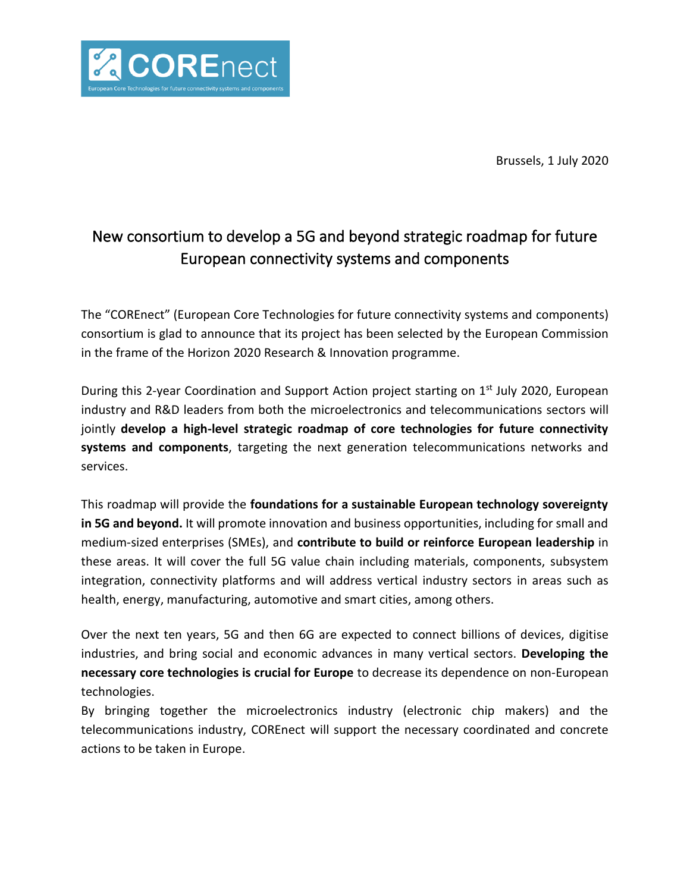

Brussels, 1 July 2020

# New consortium to develop a 5G and beyond strategic roadmap for future European connectivity systems and components

The "COREnect" (European Core Technologies for future connectivity systems and components) consortium is glad to announce that its project has been selected by the European Commission in the frame of the Horizon 2020 Research & Innovation programme.

During this 2-year Coordination and Support Action project starting on 1<sup>st</sup> July 2020, European industry and R&D leaders from both the microelectronics and telecommunications sectors will jointly **develop a high-level strategic roadmap of core technologies for future connectivity systems and components**, targeting the next generation telecommunications networks and services.

This roadmap will provide the **foundations for a sustainable European technology sovereignty in 5G and beyond.** It will promote innovation and business opportunities, including for small and medium-sized enterprises (SMEs), and **contribute to build or reinforce European leadership** in these areas. It will cover the full 5G value chain including materials, components, subsystem integration, connectivity platforms and will address vertical industry sectors in areas such as health, energy, manufacturing, automotive and smart cities, among others.

Over the next ten years, 5G and then 6G are expected to connect billions of devices, digitise industries, and bring social and economic advances in many vertical sectors. **Developing the necessary core technologies is crucial for Europe** to decrease its dependence on non-European technologies.

By bringing together the microelectronics industry (electronic chip makers) and the telecommunications industry, COREnect will support the necessary coordinated and concrete actions to be taken in Europe.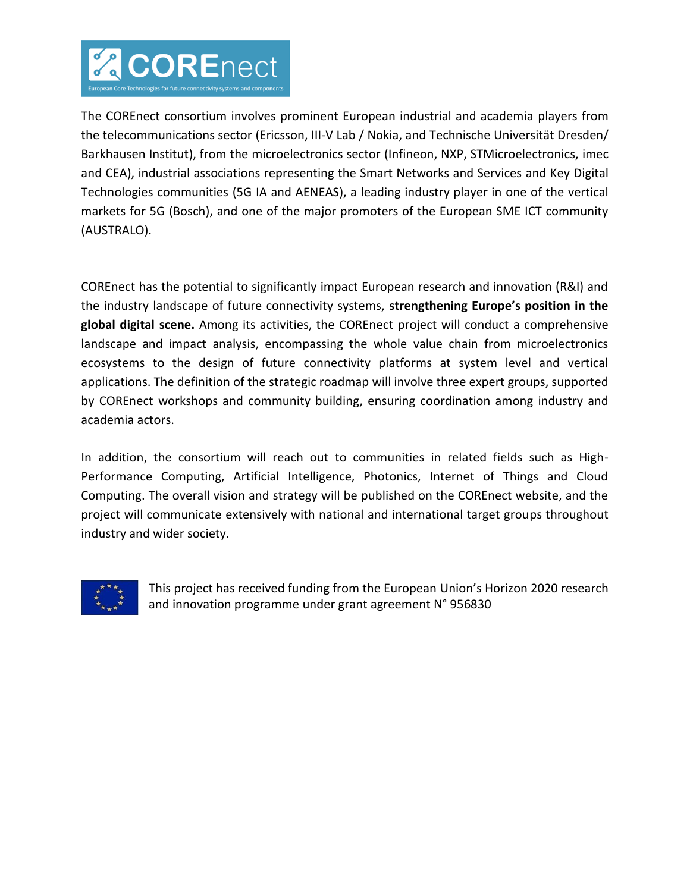

The COREnect consortium involves prominent European industrial and academia players from the telecommunications sector (Ericsson, III-V Lab / Nokia, and Technische Universität Dresden/ Barkhausen Institut), from the microelectronics sector (Infineon, NXP, STMicroelectronics, imec and CEA), industrial associations representing the Smart Networks and Services and Key Digital Technologies communities (5G IA and AENEAS), a leading industry player in one of the vertical markets for 5G (Bosch), and one of the major promoters of the European SME ICT community (AUSTRALO).

COREnect has the potential to significantly impact European research and innovation (R&I) and the industry landscape of future connectivity systems, **strengthening Europe's position in the global digital scene.** Among its activities, the COREnect project will conduct a comprehensive landscape and impact analysis, encompassing the whole value chain from microelectronics ecosystems to the design of future connectivity platforms at system level and vertical applications. The definition of the strategic roadmap will involve three expert groups, supported by COREnect workshops and community building, ensuring coordination among industry and academia actors.

In addition, the consortium will reach out to communities in related fields such as High-Performance Computing, Artificial Intelligence, Photonics, Internet of Things and Cloud Computing. The overall vision and strategy will be published on the COREnect website, and the project will communicate extensively with national and international target groups throughout industry and wider society.



This project has received funding from the European Union's Horizon 2020 research and innovation programme under grant agreement N° 956830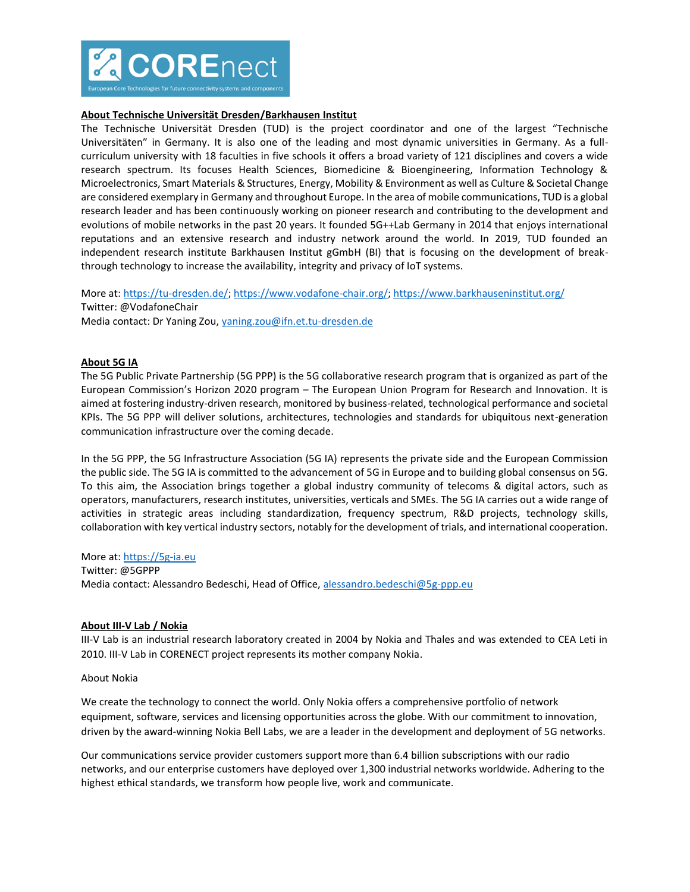

# **About Technische Universität Dresden/Barkhausen Institut**

The Technische Universität Dresden (TUD) is the project coordinator and one of the largest "Technische Universitäten" in Germany. It is also one of the leading and most dynamic universities in Germany. As a fullcurriculum university with 18 faculties in five schools it offers a broad variety of 121 disciplines and covers a wide research spectrum. Its focuses Health Sciences, Biomedicine & Bioengineering, Information Technology & Microelectronics, Smart Materials & Structures, Energy, Mobility & Environment as well as Culture & Societal Change are considered exemplary in Germany and throughout Europe. In the area of mobile communications, TUD is a global research leader and has been continuously working on pioneer research and contributing to the development and evolutions of mobile networks in the past 20 years. It founded 5G++Lab Germany in 2014 that enjoys international reputations and an extensive research and industry network around the world. In 2019, TUD founded an independent research institute Barkhausen Institut gGmbH (BI) that is focusing on the development of breakthrough technology to increase the availability, integrity and privacy of IoT systems.

More at[: https://tu-dresden.de/;](https://tu-dresden.de/) [https://www.vodafone-chair.org/;](https://www.vodafone-chair.org/) <https://www.barkhauseninstitut.org/> Twitter: @VodafoneChair Media contact: Dr Yaning Zou, [yaning.zou@ifn.et.tu-dresden.de](mailto:yaning.zou@ifn.et.tu-dresden.de)

#### **About 5G IA**

The 5G Public Private Partnership (5G PPP) is the 5G collaborative research program that is organized as part of the European Commission's Horizon 2020 program – The European Union Program for Research and Innovation. It is aimed at fostering industry-driven research, monitored by business-related, technological performance and societal KPIs. The 5G PPP will deliver solutions, architectures, technologies and standards for ubiquitous next-generation communication infrastructure over the coming decade.

In the 5G PPP, the 5G Infrastructure Association (5G IA) represents the private side and the European Commission the public side. The 5G IA is committed to the advancement of 5G in Europe and to building global consensus on 5G. To this aim, the Association brings together a global industry community of telecoms & digital actors, such as operators, manufacturers, research institutes, universities, verticals and SMEs. The 5G IA carries out a wide range of activities in strategic areas including standardization, frequency spectrum, R&D projects, technology skills, collaboration with key vertical industry sectors, notably for the development of trials, and international cooperation.

#### More at[: https://5g-ia.eu](https://5g-ia.eu/)

Twitter: @5GPPP Media contact: Alessandro Bedeschi, Head of Office, [alessandro.bedeschi@5g-ppp.eu](mailto:alessandro.bedeschi@5g-ppp.eu)

#### **About III-V Lab / Nokia**

III-V Lab is an industrial research laboratory created in 2004 by Nokia and Thales and was extended to CEA Leti in 2010. III-V Lab in CORENECT project represents its mother company Nokia.

#### About Nokia

We create the technology to connect the world. Only Nokia offers a comprehensive portfolio of network equipment, software, services and licensing opportunities across the globe. With our commitment to innovation, driven by the award-winning Nokia Bell Labs, we are a leader in the development and deployment of 5G networks.

Our communications service provider customers support more than 6.4 billion subscriptions with our radio networks, and our enterprise customers have deployed over 1,300 industrial networks worldwide. Adhering to the highest ethical standards, we transform how people live, work and communicate.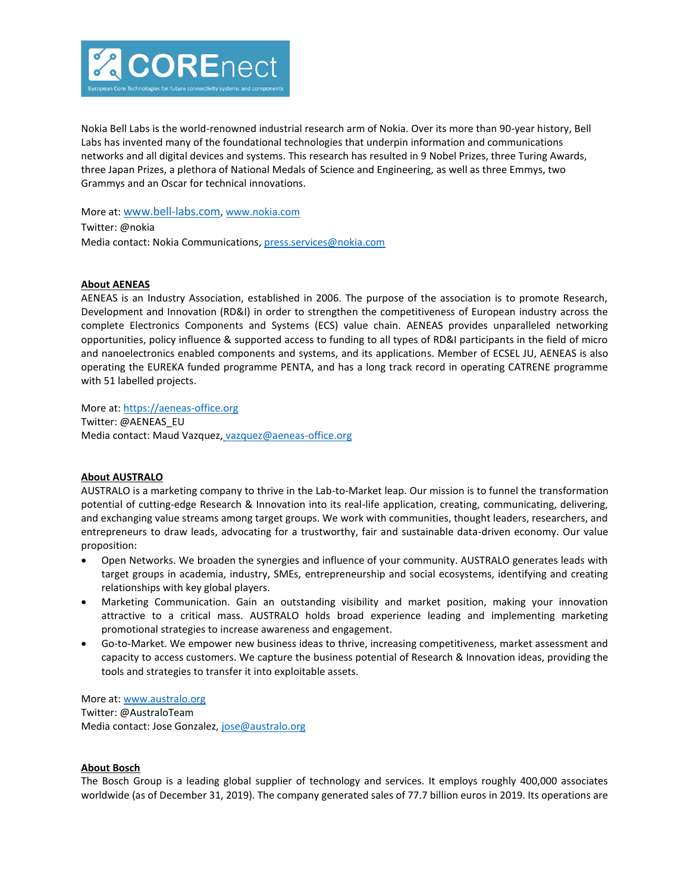

Nokia Bell Labs is the world-renowned industrial research arm of Nokia. Over its more than 90-year history, Bell Labs has invented many of the foundational technologies that underpin information and communications networks and all digital devices and systems. This research has resulted in 9 Nobel Prizes, three Turing Awards, three Japan Prizes, a plethora of National Medals of Science and Engineering, as well as three Emmys, two Grammys and an Oscar for technical innovations.

More at: [www.bell-labs.com](https://www.globenewswire.com/Tracker?data=zxwnHIuVYecCSltqcJ3OQC4R9PP2eP0c5H2VI93OQ0JgGFD0i5qNADRwjqvog6zmH_RGMznPxeJDX89zaqWa7P7OS0GAaxil_PUKNCdHlTU=)[, www.nokia.com](http://www.nokia.com/)

Twitter: @nokia Media contact: Nokia Communications[, press.services@nokia.com](mailto:press.services@nokia.com)

# **About AENEAS**

AENEAS is an Industry Association, established in 2006. The purpose of the association is to promote Research, Development and Innovation (RD&I) in order to strengthen the competitiveness of European industry across the complete Electronics Components and Systems (ECS) value chain. AENEAS provides unparalleled networking opportunities, policy influence & supported access to funding to all types of RD&I participants in the field of micro and nanoelectronics enabled components and systems, and its applications. Member of ECSEL JU, AENEAS is also operating the EUREKA funded programme PENTA, and has a long track record in operating CATRENE programme with 51 labelled projects.

More at[: https://aeneas-office.org](https://aeneas-office.org/)

Twitter: @AENEAS\_EU Media contact: Maud Vazquez, [vazquez@aeneas-office.org](mailto:vazquez@aeneas-office.org)

#### **About AUSTRALO**

AUSTRALO is a marketing company to thrive in the Lab-to-Market leap. Our mission is to funnel the transformation potential of cutting-edge Research & Innovation into its real-life application, creating, communicating, delivering, and exchanging value streams among target groups. We work with communities, thought leaders, researchers, and entrepreneurs to draw leads, advocating for a trustworthy, fair and sustainable data-driven economy. Our value proposition:

- Open Networks. We broaden the synergies and influence of your community. AUSTRALO generates leads with target groups in academia, industry, SMEs, entrepreneurship and social ecosystems, identifying and creating relationships with key global players.
- Marketing Communication. Gain an outstanding visibility and market position, making your innovation attractive to a critical mass. AUSTRALO holds broad experience leading and implementing marketing promotional strategies to increase awareness and engagement.
- Go-to-Market. We empower new business ideas to thrive, increasing competitiveness, market assessment and capacity to access customers. We capture the business potential of Research & Innovation ideas, providing the tools and strategies to transfer it into exploitable assets.

More at[: www.australo.org](https://www.australo.org/) Twitter: @AustraloTeam Media contact: Jose Gonzalez[, jose@australo.org](mailto:jose@australo.org)

#### **About Bosch**

The Bosch Group is a leading global supplier of technology and services. It employs roughly 400,000 associates worldwide (as of December 31, 2019). The company generated sales of 77.7 billion euros in 2019. Its operations are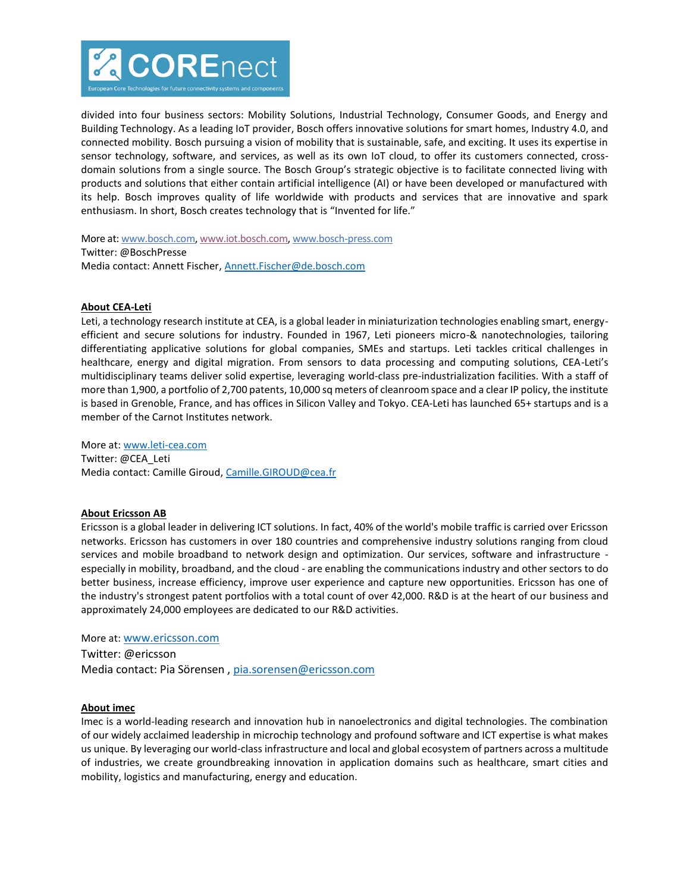

divided into four business sectors: Mobility Solutions, Industrial Technology, Consumer Goods, and Energy and Building Technology. As a leading IoT provider, Bosch offers innovative solutions for smart homes, Industry 4.0, and connected mobility. Bosch pursuing a vision of mobility that is sustainable, safe, and exciting. It uses its expertise in sensor technology, software, and services, as well as its own IoT cloud, to offer its customers connected, crossdomain solutions from a single source. The Bosch Group's strategic objective is to facilitate connected living with products and solutions that either contain artificial intelligence (AI) or have been developed or manufactured with its help. Bosch improves quality of life worldwide with products and services that are innovative and spark enthusiasm. In short, Bosch creates technology that is "Invented for life."

More at: [www.bosch.com,](https://www.bosch.com/) [www.iot.bosch.com,](https://www.bosch.com/internet-of-things/) [www.bosch-press.com](http://www.bosch-press.com/) Twitter: @BoschPresse Media contact: Annett Fischer, [Annett.Fischer@de.bosch.com](mailto:Annett.Fischer@de.bosch.com)

# **About CEA-Leti**

Leti, a technology research institute at CEA, is a global leader in miniaturization technologies enabling smart, energyefficient and secure solutions for industry. Founded in 1967, Leti pioneers micro-& nanotechnologies, tailoring differentiating applicative solutions for global companies, SMEs and startups. Leti tackles critical challenges in healthcare, energy and digital migration. From sensors to data processing and computing solutions, CEA-Leti's multidisciplinary teams deliver solid expertise, leveraging world-class pre-industrialization facilities. With a staff of more than 1,900, a portfolio of 2,700 patents, 10,000 sq meters of cleanroom space and a clear IP policy, the institute is based in Grenoble, France, and has offices in Silicon Valley and Tokyo. CEA-Leti has launched 65+ startups and is a member of the Carnot Institutes network.

More at[: www.leti-cea.com](http://www.leti-cea.com/) Twitter: @CEA\_Leti Media contact: Camille Giroud, [Camille.GIROUD@cea.fr](mailto:Camille.GIROUD@cea.fr)

#### **About Ericsson AB**

Ericsson is a global leader in delivering ICT solutions. In fact, 40% of the world's mobile traffic is carried over Ericsson networks. Ericsson has customers in over 180 countries and comprehensive industry solutions ranging from cloud services and mobile broadband to network design and optimization. Our services, software and infrastructure especially in mobility, broadband, and the cloud - are enabling the communications industry and other sectors to do better business, increase efficiency, improve user experience and capture new opportunities. Ericsson has one of the industry's strongest patent portfolios with a total count of over 42,000. R&D is at the heart of our business and approximately 24,000 employees are dedicated to our R&D activities.

# More at: [www.ericsson.com](http://www.ericsson.com/)

Twitter: @ericsson Media contact: Pia Sörensen , [pia.sorensen@ericsson.com](mailto:pia.sorensen@ericsson.com)

#### **About imec**

Imec is a world-leading research and innovation hub in nanoelectronics and digital technologies. The combination of our widely acclaimed leadership in microchip technology and profound software and ICT expertise is what makes us unique. By leveraging our world-class infrastructure and local and global ecosystem of partners across a multitude of industries, we create groundbreaking innovation in application domains such as healthcare, smart cities and mobility, logistics and manufacturing, energy and education.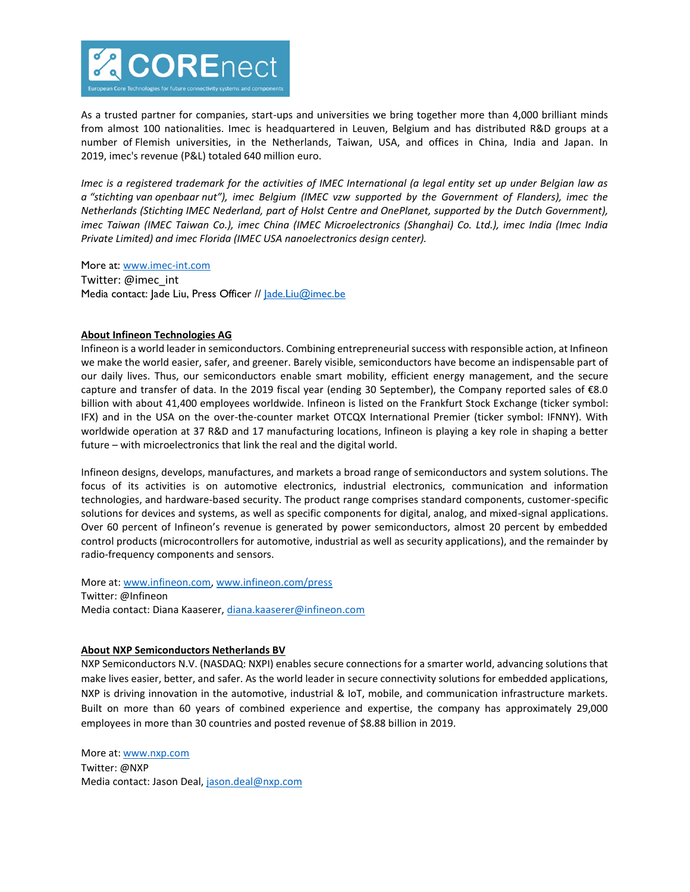

As a trusted partner for companies, start-ups and universities we bring together more than 4,000 brilliant minds from almost 100 nationalities. Imec is headquartered in Leuven, Belgium and has distributed R&D groups at a number of Flemish universities, in the Netherlands, Taiwan, USA, and offices in China, India and Japan. In 2019, imec's revenue (P&L) totaled 640 million euro.

*Imec is a registered trademark for the activities of IMEC International (a legal entity set up under Belgian law as a "stichting van openbaar nut"), imec Belgium (IMEC vzw supported by the Government of Flanders), imec the Netherlands (Stichting IMEC Nederland, part of Holst Centre and OnePlanet, supported by the Dutch Government), imec Taiwan (IMEC Taiwan Co.), imec China (IMEC Microelectronics (Shanghai) Co. Ltd.), imec India (Imec India Private Limited) and imec Florida (IMEC USA nanoelectronics design center).*

More at: [www.imec-int.com](http://www.imec-int.com/)

Twitter: @imec\_int Media contact: Jade Liu, Press Officer // [Jade.Liu@imec.be](mailto:Jade.Liu@imec.be)

# **About Infineon Technologies AG**

Infineon is a world leader in semiconductors. Combining entrepreneurial success with responsible action, at Infineon we make the world easier, safer, and greener. Barely visible, semiconductors have become an indispensable part of our daily lives. Thus, our semiconductors enable smart mobility, efficient energy management, and the secure capture and transfer of data. In the 2019 fiscal year (ending 30 September), the Company reported sales of €8.0 billion with about 41,400 employees worldwide. Infineon is listed on the Frankfurt Stock Exchange (ticker symbol: IFX) and in the USA on the over-the-counter market OTCQX International Premier (ticker symbol: IFNNY). With worldwide operation at 37 R&D and 17 manufacturing locations, Infineon is playing a key role in shaping a better future – with microelectronics that link the real and the digital world.

Infineon designs, develops, manufactures, and markets a broad range of semiconductors and system solutions. The focus of its activities is on automotive electronics, industrial electronics, communication and information technologies, and hardware-based security. The product range comprises standard components, customer-specific solutions for devices and systems, as well as specific components for digital, analog, and mixed-signal applications. Over 60 percent of Infineon's revenue is generated by power semiconductors, almost 20 percent by embedded control products (microcontrollers for automotive, industrial as well as security applications), and the remainder by radio-frequency components and sensors.

More at[: www.infineon.com,](http://www.infineon.com/) [www.infineon.com/press](http://www.infineon.com/press) Twitter: @Infineon Media contact: Diana Kaaserer[, diana.kaaserer@infineon.com](mailto:diana.kaaserer@infineon.com)

# **About NXP Semiconductors Netherlands BV**

NXP Semiconductors N.V. (NASDAQ: NXPI) enables secure connections for a smarter world, advancing solutions that make lives easier, better, and safer. As the world leader in secure connectivity solutions for embedded applications, NXP is driving innovation in the automotive, industrial & IoT, mobile, and communication infrastructure markets. Built on more than 60 years of combined experience and expertise, the company has approximately 29,000 employees in more than 30 countries and posted revenue of \$8.88 billion in 2019.

More at: [www.nxp.com](http://www.nxp.com/) Twitter: @NXP Media contact: Jason Deal, [jason.deal@nxp.com](mailto:jason.deal@nxp.com)